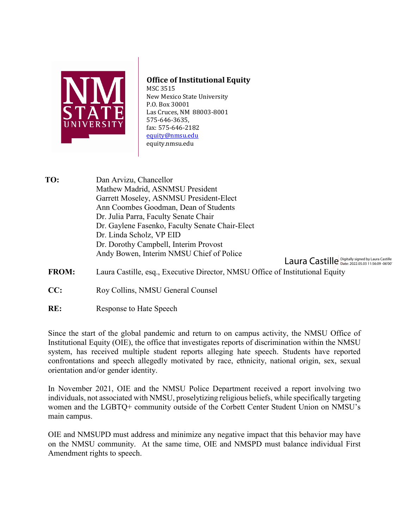

## **Office of Institutional Equity**

MSC 3515 New Mexico State University P.O. Box 30001 Las Cruces, NM 88003-8001 575-646-3635, fax: 575-646-2182 [equity@nmsu.edu](mailto:equity@nmsu.edu)  equity.nmsu.edu

**TO:** Dan Arvizu, Chancellor Mathew Madrid, ASNMSU President Garrett Moseley, ASNMSU President-Elect Ann Coombes Goodman, Dean of Students Dr. Julia Parra, Faculty Senate Chair Dr. Gaylene Fasenko, Faculty Senate Chair-Elect Dr. Linda Scholz, VP EID Dr. Dorothy Campbell, Interim Provost Andy Bowen, Interim NMSU Chief of Police

Laura Castille Digitally signed by Laura Castille

- **FROM:** Laura Castille, esq., Executive Director, NMSU Office of Institutional Equity
- **CC:** Roy Collins, NMSU General Counsel
- **RE:** Response to Hate Speech

Since the start of the global pandemic and return to on campus activity, the NMSU Office of Institutional Equity (OIE), the office that investigates reports of discrimination within the NMSU system, has received multiple student reports alleging hate speech. Students have reported confrontations and speech allegedly motivated by race, ethnicity, national origin, sex, sexual orientation and/or gender identity.

In November 2021, OIE and the NMSU Police Department received a report involving two individuals, not associated with NMSU, proselytizing religious beliefs, while specifically targeting women and the LGBTQ+ community outside of the Corbett Center Student Union on NMSU's main campus.

OIE and NMSUPD must address and minimize any negative impact that this behavior may have on the NMSU community. At the same time, OIE and NMSPD must balance individual First Amendment rights to speech.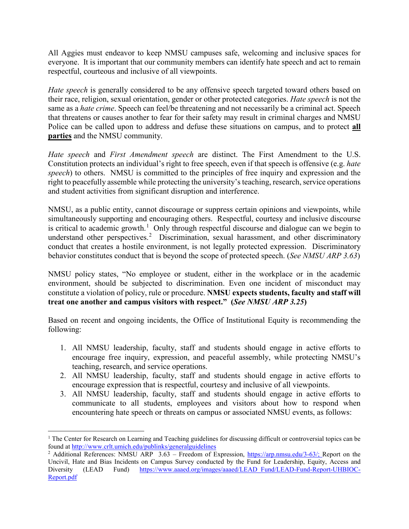All Aggies must endeavor to keep NMSU campuses safe, welcoming and inclusive spaces for everyone. It is important that our community members can identify hate speech and act to remain respectful, courteous and inclusive of all viewpoints.

*Hate speech* is generally considered to be any offensive speech targeted toward others based on their race, religion, sexual orientation, gender or other protected categories. *Hate speech* is not the same as a *hate crime*. Speech can feel/be threatening and not necessarily be a criminal act. Speech that threatens or causes another to fear for their safety may result in criminal charges and NMSU Police can be called upon to address and defuse these situations on campus, and to protect **all parties** and the NMSU community.

*Hate speech* and *First Amendment speech* are distinct. The First Amendment to the U.S. Constitution protects an individual's right to free speech, even if that speech is offensive (e.g. *hate speech*) to others. NMSU is committed to the principles of free inquiry and expression and the right to peacefully assemble while protecting the university's teaching, research, service operations and student activities from significant disruption and interference.

NMSU, as a public entity, cannot discourage or suppress certain opinions and viewpoints, while simultaneously supporting and encouraging others. Respectful, courtesy and inclusive discourse is critical to academic growth.<sup>[1](#page-1-0)</sup> Only through respectful discourse and dialogue can we begin to understand other perspectives.<sup>[2](#page-1-1)</sup> Discrimination, sexual harassment, and other discriminatory conduct that creates a hostile environment, is not legally protected expression. Discriminatory behavior constitutes conduct that is beyond the scope of protected speech. (*See NMSU ARP 3.63*)

NMSU policy states, "No employee or student, either in the workplace or in the academic environment, should be subjected to discrimination. Even one incident of misconduct may constitute a violation of policy, rule or procedure. **NMSU expects students, faculty and staff will treat one another and campus visitors with respect." (***See NMSU ARP 3.25***)**

Based on recent and ongoing incidents, the Office of Institutional Equity is recommending the following:

- 1. All NMSU leadership, faculty, staff and students should engage in active efforts to encourage free inquiry, expression, and peaceful assembly, while protecting NMSU's teaching, research, and service operations.
- 2. All NMSU leadership, faculty, staff and students should engage in active efforts to encourage expression that is respectful, courtesy and inclusive of all viewpoints.
- 3. All NMSU leadership, faculty, staff and students should engage in active efforts to communicate to all students, employees and visitors about how to respond when encountering hate speech or threats on campus or associated NMSU events, as follows:

 $\overline{a}$ 

<span id="page-1-0"></span> $1$  The Center for Research on Learning and Teaching guidelines for discussing difficult or controversial topics can be found a[t http://www.crlt.umich.edu/publinks/generalguidelines](http://www.crlt.umich.edu/publinks/generalguidelines)

<span id="page-1-1"></span><sup>&</sup>lt;sup>2</sup> Additional References: NMSU ARP 3.63 – Freedom of Expression, [https://arp.nmsu.edu/3-63/;](https://arp.nmsu.edu/3-63/) Report on the Uncivil, Hate and Bias Incidents on Campus Survey conducted by the Fund for Leadership, Equity, Access and Diversity (LEAD Fund) [https://www.aaaed.org/images/aaaed/LEAD\\_Fund/LEAD-Fund-Report-UHBIOC-](https://www.aaaed.org/images/aaaed/LEAD_Fund/LEAD-Fund-Report-UHBIOC-Report.pdf)[Report.pdf](https://www.aaaed.org/images/aaaed/LEAD_Fund/LEAD-Fund-Report-UHBIOC-Report.pdf)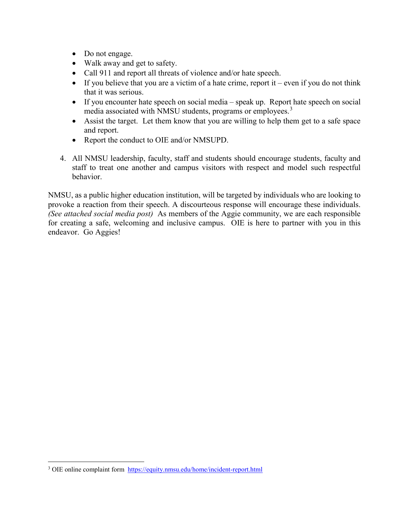- Do not engage.
- Walk away and get to safety.
- Call 911 and report all threats of violence and/or hate speech.
- If you believe that you are a victim of a hate crime, report it even if you do not think that it was serious.
- If you encounter hate speech on social media speak up. Report hate speech on social media associated with NMSU students, programs or employees.<sup>[3](#page-2-0)</sup>
- Assist the target. Let them know that you are willing to help them get to a safe space and report.
- Report the conduct to OIE and/or NMSUPD.
- 4. All NMSU leadership, faculty, staff and students should encourage students, faculty and staff to treat one another and campus visitors with respect and model such respectful behavior.

NMSU, as a public higher education institution, will be targeted by individuals who are looking to provoke a reaction from their speech. A discourteous response will encourage these individuals. *(See attached social media post)* As members of the Aggie community, we are each responsible for creating a safe, welcoming and inclusive campus. OIE is here to partner with you in this endeavor. Go Aggies!

l

<span id="page-2-0"></span><sup>&</sup>lt;sup>3</sup> OIE online complaint form <https://equity.nmsu.edu/home/incident-report.html>